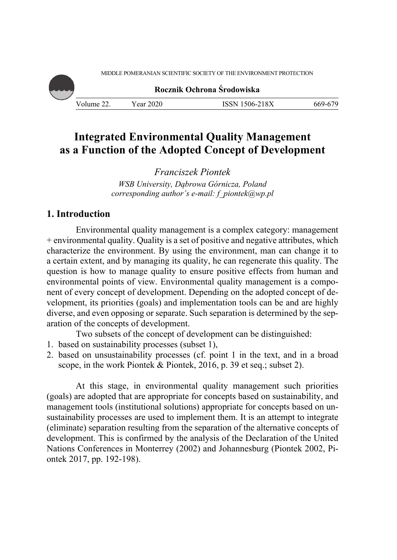MIDDLE POMERANIAN SCIENTIFIC SOCIETY OF THE ENVIRONMENT PROTECTION

**Rocznik Ochrona Środowiska**

Volume 22. Year 2020 ISSN 1506-218X 669-679

# **Integrated Environmental Quality Management as a Function of the Adopted Concept of Development**

*Franciszek Piontek WSB University, Dąbrowa Górnicza, Poland* 

*corresponding author's e-mail: f\_piontek@wp.pl* 

### **1. Introduction**

Environmental quality management is a complex category: management + environmental quality. Quality is a set of positive and negative attributes, which characterize the environment. By using the environment, man can change it to a certain extent, and by managing its quality, he can regenerate this quality. The question is how to manage quality to ensure positive effects from human and environmental points of view. Environmental quality management is a component of every concept of development. Depending on the adopted concept of development, its priorities (goals) and implementation tools can be and are highly diverse, and even opposing or separate. Such separation is determined by the separation of the concepts of development.

Two subsets of the concept of development can be distinguished:

- 1. based on sustainability processes (subset 1),
- 2. based on unsustainability processes (cf. point 1 in the text, and in a broad scope, in the work Piontek & Piontek, 2016, p. 39 et seq.; subset 2).

At this stage, in environmental quality management such priorities (goals) are adopted that are appropriate for concepts based on sustainability, and management tools (institutional solutions) appropriate for concepts based on unsustainability processes are used to implement them. It is an attempt to integrate (eliminate) separation resulting from the separation of the alternative concepts of development. This is confirmed by the analysis of the Declaration of the United Nations Conferences in Monterrey (2002) and Johannesburg (Piontek 2002, Piontek 2017, pp. 192-198).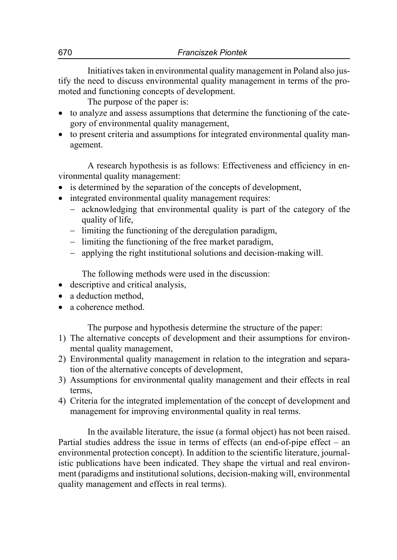Initiatives taken in environmental quality management in Poland also justify the need to discuss environmental quality management in terms of the promoted and functioning concepts of development.

The purpose of the paper is:

- to analyze and assess assumptions that determine the functioning of the category of environmental quality management,
- to present criteria and assumptions for integrated environmental quality management.

A research hypothesis is as follows: Effectiveness and efficiency in environmental quality management:

- is determined by the separation of the concepts of development,
- integrated environmental quality management requires:
	- acknowledging that environmental quality is part of the category of the quality of life,
	- $\hbox{1}$  limiting the functioning of the deregulation paradigm,
	- $\overline{\phantom{a}}$  limiting the functioning of the free market paradigm,
	- applying the right institutional solutions and decision-making will.

The following methods were used in the discussion:

- descriptive and critical analysis,
- a deduction method,
- a coherence method.

The purpose and hypothesis determine the structure of the paper:

- 1) The alternative concepts of development and their assumptions for environmental quality management,
- 2) Environmental quality management in relation to the integration and separation of the alternative concepts of development,
- 3) Assumptions for environmental quality management and their effects in real terms,
- 4) Criteria for the integrated implementation of the concept of development and management for improving environmental quality in real terms.

In the available literature, the issue (a formal object) has not been raised. Partial studies address the issue in terms of effects (an end-of-pipe effect – an environmental protection concept). In addition to the scientific literature, journalistic publications have been indicated. They shape the virtual and real environment (paradigms and institutional solutions, decision-making will, environmental quality management and effects in real terms).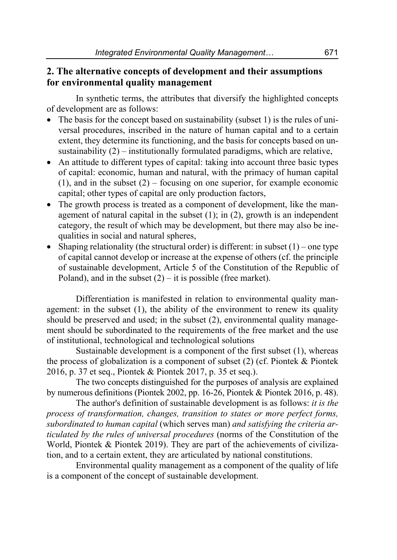### **2. The alternative concepts of development and their assumptions for environmental quality management**

In synthetic terms, the attributes that diversify the highlighted concepts of development are as follows:

- The basis for the concept based on sustainability (subset 1) is the rules of universal procedures, inscribed in the nature of human capital and to a certain extent, they determine its functioning, and the basis for concepts based on unsustainability (2) – institutionally formulated paradigms, which are relative,
- An attitude to different types of capital: taking into account three basic types of capital: economic, human and natural, with the primacy of human capital  $(1)$ , and in the subset  $(2)$  – focusing on one superior, for example economic capital; other types of capital are only production factors,
- The growth process is treated as a component of development, like the management of natural capital in the subset  $(1)$ ; in  $(2)$ , growth is an independent category, the result of which may be development, but there may also be inequalities in social and natural spheres,
- Shaping relationality (the structural order) is different: in subset  $(1)$  one type of capital cannot develop or increase at the expense of others (cf. the principle of sustainable development, Article 5 of the Constitution of the Republic of Poland), and in the subset  $(2) - it$  is possible (free market).

Differentiation is manifested in relation to environmental quality management: in the subset (1), the ability of the environment to renew its quality should be preserved and used; in the subset (2), environmental quality management should be subordinated to the requirements of the free market and the use of institutional, technological and technological solutions

Sustainable development is a component of the first subset (1), whereas the process of globalization is a component of subset (2) (cf. Piontek & Piontek 2016, p. 37 et seq., Piontek & Piontek 2017, p. 35 et seq.).

The two concepts distinguished for the purposes of analysis are explained by numerous definitions (Piontek 2002, pp. 16-26, Piontek & Piontek 2016, p. 48).

The author's definition of sustainable development is as follows: *it is the process of transformation, changes, transition to states or more perfect forms, subordinated to human capital* (which serves man) *and satisfying the criteria articulated by the rules of universal procedures* (norms of the Constitution of the World, Piontek & Piontek 2019). They are part of the achievements of civilization, and to a certain extent, they are articulated by national constitutions.

Environmental quality management as a component of the quality of life is a component of the concept of sustainable development.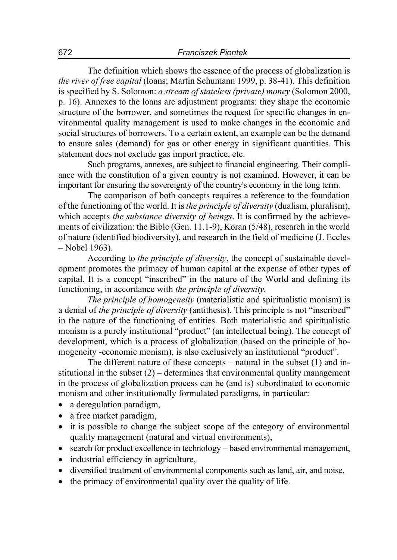The definition which shows the essence of the process of globalization is *the river of free capital* (loans; Martin Schumann 1999, p. 38-41). This definition is specified by S. Solomon: *a stream of stateless (private) money* (Solomon 2000, p. 16). Annexes to the loans are adjustment programs: they shape the economic structure of the borrower, and sometimes the request for specific changes in environmental quality management is used to make changes in the economic and social structures of borrowers. To a certain extent, an example can be the demand to ensure sales (demand) for gas or other energy in significant quantities. This statement does not exclude gas import practice, etc.

Such programs, annexes, are subject to financial engineering. Their compliance with the constitution of a given country is not examined. However, it can be important for ensuring the sovereignty of the country's economy in the long term.

The comparison of both concepts requires a reference to the foundation of the functioning of the world. It is *the principle of diversity* (dualism, pluralism), which accepts *the substance diversity of beings*. It is confirmed by the achievements of civilization: the Bible (Gen. 11.1-9), Koran (5/48), research in the world of nature (identified biodiversity), and research in the field of medicine (J. Eccles – Nobel 1963).

According to *the principle of diversity*, the concept of sustainable development promotes the primacy of human capital at the expense of other types of capital. It is a concept "inscribed" in the nature of the World and defining its functioning, in accordance with *the principle of diversity.*

*The principle of homogeneity* (materialistic and spiritualistic monism) is a denial of *the principle of diversity* (antithesis). This principle is not "inscribed" in the nature of the functioning of entities. Both materialistic and spiritualistic monism is a purely institutional "product" (an intellectual being). The concept of development, which is a process of globalization (based on the principle of homogeneity -economic monism), is also exclusively an institutional "product".

The different nature of these concepts – natural in the subset (1) and institutional in the subset  $(2)$  – determines that environmental quality management in the process of globalization process can be (and is) subordinated to economic monism and other institutionally formulated paradigms, in particular:

- a deregulation paradigm,
- a free market paradigm,
- it is possible to change the subject scope of the category of environmental quality management (natural and virtual environments),
- search for product excellence in technology based environmental management,
- industrial efficiency in agriculture,
- diversified treatment of environmental components such as land, air, and noise,
- the primacy of environmental quality over the quality of life.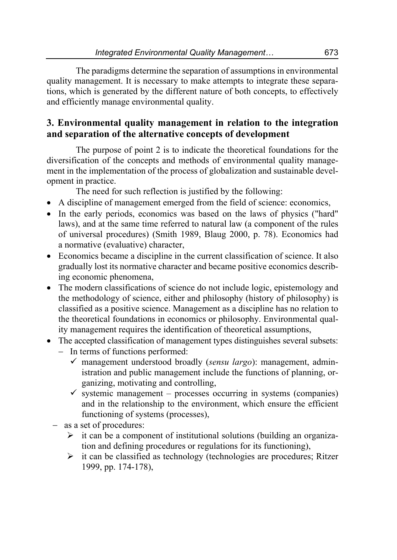The paradigms determine the separation of assumptions in environmental quality management. It is necessary to make attempts to integrate these separations, which is generated by the different nature of both concepts, to effectively and efficiently manage environmental quality.

# **3. Environmental quality management in relation to the integration and separation of the alternative concepts of development**

The purpose of point 2 is to indicate the theoretical foundations for the diversification of the concepts and methods of environmental quality management in the implementation of the process of globalization and sustainable development in practice.

The need for such reflection is justified by the following:

- A discipline of management emerged from the field of science: economics,
- In the early periods, economics was based on the laws of physics ("hard" laws), and at the same time referred to natural law (a component of the rules of universal procedures) (Smith 1989, Blaug 2000, p. 78). Economics had a normative (evaluative) character,
- Economics became a discipline in the current classification of science. It also gradually lost its normative character and became positive economics describing economic phenomena,
- The modern classifications of science do not include logic, epistemology and the methodology of science, either and philosophy (history of philosophy) is classified as a positive science. Management as a discipline has no relation to the theoretical foundations in economics or philosophy. Environmental quality management requires the identification of theoretical assumptions,
- The accepted classification of management types distinguishes several subsets: - In terms of functions performed:
	- management understood broadly (*sensu largo*): management, administration and public management include the functions of planning, organizing, motivating and controlling,
	- $\checkmark$  systemic management processes occurring in systems (companies) and in the relationship to the environment, which ensure the efficient functioning of systems (processes),
	- as a set of procedures:
		- $\triangleright$  it can be a component of institutional solutions (building an organization and defining procedures or regulations for its functioning),
		- $\triangleright$  it can be classified as technology (technologies are procedures; Ritzer 1999, pp. 174-178),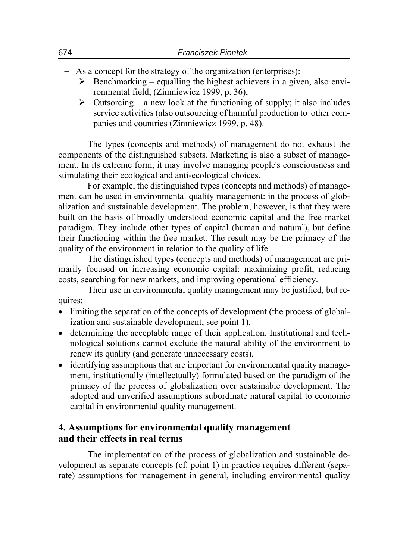- As a concept for the strategy of the organization (enterprises):
	- $\triangleright$  Benchmarking equalling the highest achievers in a given, also environmental field, (Zimniewicz 1999, p. 36),
	- $\triangleright$  Outsorcing a new look at the functioning of supply; it also includes service activities (also outsourcing of harmful production to other companies and countries (Zimniewicz 1999, p. 48).

The types (concepts and methods) of management do not exhaust the components of the distinguished subsets. Marketing is also a subset of management. In its extreme form, it may involve managing people's consciousness and stimulating their ecological and anti-ecological choices.

For example, the distinguished types (concepts and methods) of management can be used in environmental quality management: in the process of globalization and sustainable development. The problem, however, is that they were built on the basis of broadly understood economic capital and the free market paradigm. They include other types of capital (human and natural), but define their functioning within the free market. The result may be the primacy of the quality of the environment in relation to the quality of life.

The distinguished types (concepts and methods) of management are primarily focused on increasing economic capital: maximizing profit, reducing costs, searching for new markets, and improving operational efficiency.

Their use in environmental quality management may be justified, but requires:

- limiting the separation of the concepts of development (the process of globalization and sustainable development; see point 1),
- determining the acceptable range of their application. Institutional and technological solutions cannot exclude the natural ability of the environment to renew its quality (and generate unnecessary costs),
- identifying assumptions that are important for environmental quality management, institutionally (intellectually) formulated based on the paradigm of the primacy of the process of globalization over sustainable development. The adopted and unverified assumptions subordinate natural capital to economic capital in environmental quality management.

# **4. Assumptions for environmental quality management and their effects in real terms**

The implementation of the process of globalization and sustainable development as separate concepts (cf. point 1) in practice requires different (separate) assumptions for management in general, including environmental quality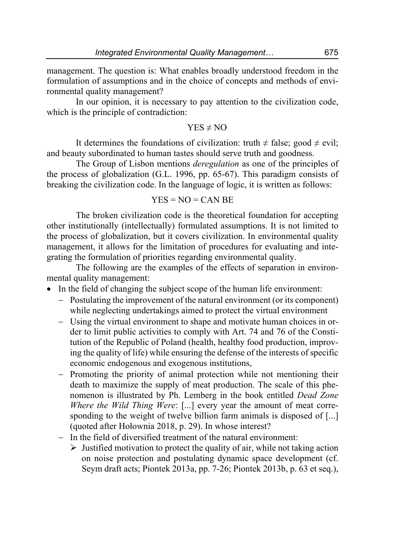management. The question is: What enables broadly understood freedom in the formulation of assumptions and in the choice of concepts and methods of environmental quality management?

In our opinion, it is necessary to pay attention to the civilization code, which is the principle of contradiction:

#### $YES \neq NO$

It determines the foundations of civilization: truth  $\neq$  false; good  $\neq$  evil; and beauty subordinated to human tastes should serve truth and goodness.

The Group of Lisbon mentions *deregulation* as one of the principles of the process of globalization (G.L. 1996, pp. 65-67). This paradigm consists of breaking the civilization code. In the language of logic, it is written as follows:

$$
YES = NO = CAN BE
$$

The broken civilization code is the theoretical foundation for accepting other institutionally (intellectually) formulated assumptions. It is not limited to the process of globalization, but it covers civilization. In environmental quality management, it allows for the limitation of procedures for evaluating and integrating the formulation of priorities regarding environmental quality.

The following are the examples of the effects of separation in environmental quality management:

- In the field of changing the subject scope of the human life environment:
	- Postulating the improvement of the natural environment (or its component) while neglecting undertakings aimed to protect the virtual environment
	- Using the virtual environment to shape and motivate human choices in order to limit public activities to comply with Art. 74 and 76 of the Constitution of the Republic of Poland (health, healthy food production, improving the quality of life) while ensuring the defense of the interests of specific economic endogenous and exogenous institutions,
	- Promoting the priority of animal protection while not mentioning their death to maximize the supply of meat production. The scale of this phenomenon is illustrated by Ph. Lemberg in the book entitled *Dead Zone Where the Wild Thing Were*: [...] every year the amount of meat corresponding to the weight of twelve billion farm animals is disposed of [...] (quoted after Hołownia 2018, p. 29). In whose interest?
	- In the field of diversified treatment of the natural environment:
		- $\triangleright$  Justified motivation to protect the quality of air, while not taking action on noise protection and postulating dynamic space development (cf. Seym draft acts; Piontek 2013a, pp. 7-26; Piontek 2013b, p. 63 et seq.),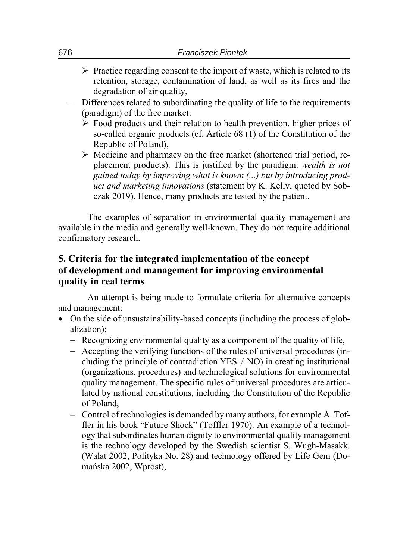- $\triangleright$  Practice regarding consent to the import of waste, which is related to its retention, storage, contamination of land, as well as its fires and the degradation of air quality,
- Differences related to subordinating the quality of life to the requirements (paradigm) of the free market:
	- $\triangleright$  Food products and their relation to health prevention, higher prices of so-called organic products (cf. Article 68 (1) of the Constitution of the Republic of Poland),
	- $\triangleright$  Medicine and pharmacy on the free market (shortened trial period, replacement products). This is justified by the paradigm: *wealth is not gained today by improving what is known (...) but by introducing product and marketing innovations* (statement by K. Kelly, quoted by Sobczak 2019). Hence, many products are tested by the patient.

The examples of separation in environmental quality management are available in the media and generally well-known. They do not require additional confirmatory research.

# **5. Criteria for the integrated implementation of the concept of development and management for improving environmental quality in real terms**

An attempt is being made to formulate criteria for alternative concepts and management:

- On the side of unsustainability-based concepts (including the process of globalization):
	- Recognizing environmental quality as a component of the quality of life,
	- Accepting the verifying functions of the rules of universal procedures (including the principle of contradiction  $YES \neq NO$ ) in creating institutional (organizations, procedures) and technological solutions for environmental quality management. The specific rules of universal procedures are articulated by national constitutions, including the Constitution of the Republic of Poland,
	- Control of technologies is demanded by many authors, for example A. Toffler in his book "Future Shock" (Toffler 1970). An example of a technology that subordinates human dignity to environmental quality management is the technology developed by the Swedish scientist S. Wugh-Masakk. (Walat 2002, Polityka No. 28) and technology offered by Life Gem (Domańska 2002, Wprost),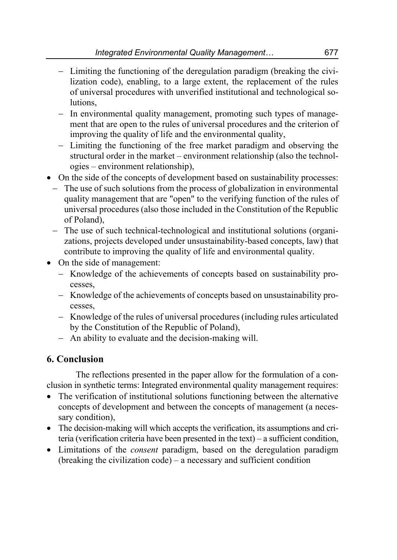- Limiting the functioning of the deregulation paradigm (breaking the civilization code), enabling, to a large extent, the replacement of the rules of universal procedures with unverified institutional and technological solutions,
- $-$  In environmental quality management, promoting such types of management that are open to the rules of universal procedures and the criterion of improving the quality of life and the environmental quality,
- Limiting the functioning of the free market paradigm and observing the structural order in the market – environment relationship (also the technologies – environment relationship),
- On the side of the concepts of development based on sustainability processes:
	- The use of such solutions from the process of globalization in environmental quality management that are "open" to the verifying function of the rules of universal procedures (also those included in the Constitution of the Republic of Poland),
	- The use of such technical-technological and institutional solutions (organizations, projects developed under unsustainability-based concepts, law) that contribute to improving the quality of life and environmental quality.
- On the side of management:
	- Knowledge of the achievements of concepts based on sustainability processes,
	- Knowledge of the achievements of concepts based on unsustainability processes,
	- Knowledge of the rules of universal procedures (including rules articulated by the Constitution of the Republic of Poland),
	- An ability to evaluate and the decision-making will.

# **6. Conclusion**

The reflections presented in the paper allow for the formulation of a conclusion in synthetic terms: Integrated environmental quality management requires:

- The verification of institutional solutions functioning between the alternative concepts of development and between the concepts of management (a necessary condition),
- The decision-making will which accepts the verification, its assumptions and criteria (verification criteria have been presented in the text) – a sufficient condition,
- Limitations of the *consent* paradigm, based on the deregulation paradigm (breaking the civilization code) – a necessary and sufficient condition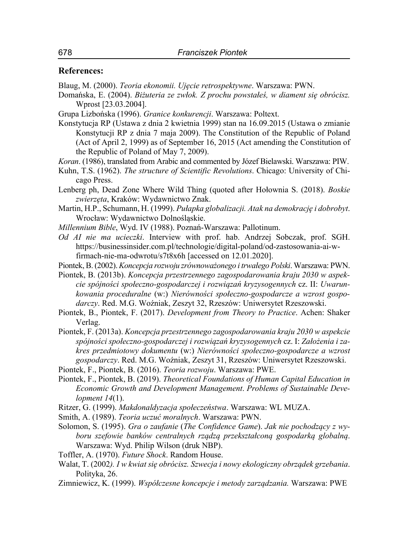#### **References:**

Blaug, M. (2000). *Teoria ekonomii. Ujęcie retrospektywne*. Warszawa: PWN.

Domańska, E. (2004). *Biżuteria ze zwłok. Z prochu powstałeś, w diament się obrócisz.* Wprost [23.03.2004].

Grupa Lizbońska (1996). *Granice konkurencji*. Warszawa: Poltext.

Konstytucja RP (Ustawa z dnia 2 kwietnia 1999) stan na 16.09.2015 (Ustawa o zmianie Konstytucji RP z dnia 7 maja 2009). The Constitution of the Republic of Poland (Act of April 2, 1999) as of September 16, 2015 (Act amending the Constitution of the Republic of Poland of May 7, 2009).

*Koran*. (1986), translated from Arabic and commented by Józef Bielawski. Warszawa: PIW.

- Kuhn, T.S. (1962). *The structure of Scientific Revolutions*. Chicago: University of Chicago Press.
- Lenberg ph, Dead Zone Where Wild Thing (quoted after Hołownia S. (2018). *Boskie zwierzęta*, Kraków: Wydawnictwo Znak.
- Martin, H.P., Schumann, H. (1999). *Pułapka globalizacji. Atak na demokrację i dobrobyt*. Wrocław: Wydawnictwo Dolnośląskie.
- *Millennium Bible*, Wyd. IV (1988). Poznań-Warszawa: Pallotinum.
- *Od AI nie ma ucieczki*. Interview with prof. hab. Andrzej Sobczak, prof. SGH. https://businessinsider.com.pl/technologie/digital-poland/od-zastosowania-ai-wfirmach-nie-ma-odwrotu/s7t8x6h [accessed on 12.01.2020].

Piontek, B. (2002). *Koncepcja rozwoju zrównoważonego i trwałego Polski*. Warszawa: PWN.

Piontek, B. (2013b). *Koncepcja przestrzennego zagospodarowania kraju 2030 w aspekcie spójności społeczno-gospodarczej i rozwiązań kryzysogennych* cz. II: *Uwarunkowania proceduralne* (w:) *Nierówności społeczno-gospodarcze a wzrost gospodarczy*. Red. M.G. Woźniak, Zeszyt 32, Rzeszów: Uniwersytet Rzeszowski.

Piontek, B., Piontek, F. (2017). *Development from Theory to Practice*. Achen: Shaker Verlag.

Piontek, F. (2013a). *Koncepcja przestrzennego zagospodarowania kraju 2030 w aspekcie spójności społeczno-gospodarczej i rozwiązań kryzysogennych* cz. I: *Założenia i zakres przedmiotowy dokumentu* (w:) *Nierówności społeczno-gospodarcze a wzrost gospodarczy*. Red. M.G. Woźniak, Zeszyt 31, Rzeszów: Uniwersytet Rzeszowski.

Piontek, F., Piontek, B. (2016). *Teoria rozwoju*. Warszawa: PWE.

- Piontek, F., Piontek, B. (2019). *Theoretical Foundations of Human Capital Education in Economic Growth and Development Management*. *Problems of Sustainable Development 14*(1).
- Ritzer, G. (1999). *Makdonaldyzacja społeczeństwa*. Warszawa: WL MUZA.
- Smith, A. (1989). *Teoria uczuć moralnych*. Warszawa: PWN.
- Solomon, S. (1995). *Gra o zaufanie* (*The Confidence Game*). *Jak nie pochodzący z wyboru szefowie banków centralnych rządzą przekształconą gospodarką globalną*. Warszawa: Wyd. Philip Wilson (druk NBP).
- Toffler, A. (1970). *Future Shock*. Random House.
- Walat, T. (2002*). I w kwiat się obrócisz. Szwecja i nowy ekologiczny obrządek grzebania*. Polityka, 26.
- Zimniewicz, K. (1999). *Współczesne koncepcje i metody zarządzania.* Warszawa: PWE